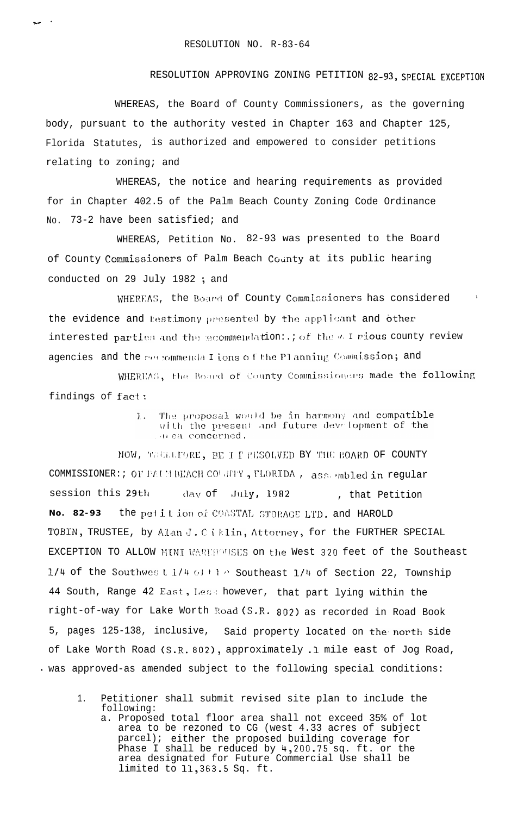## RESOLUTION APPROVING ZONING PETITION 82-93, SPECIAL EXCEPTION

WHEREAS, the Board of County Commissioners, as the governing body, pursuant to the authority vested in Chapter 163 and Chapter 125, Florida Statutes, is authorized and empowered to consider petitions relating to zoning; and

WHEREAS, the notice and hearing requirements as provided for in Chapter 402.5 of the Palm Beach County Zoning Code Ordinance No. 73-2 have been satisfied; and

WHEREAS, Petition No. 82-93 was presented to the Board of County Commissioners of Palm Beach County at its public hearing conducted on 29 July 1982; and

WHEREAS, the Board of County Commissioners has considered the evidence and testimony presented by the applicant and other interested partles and the mecommendation: .; of the v I rious county review agencies and the recommenda I ions of the Planning Commission; and

WHEREAS, the Board of County Commissioners made the following findings of fact:

> The proposal would be in harmony and compatible  $\overline{1}$ . with the present and future development of the or ea concerned.

NOW, WELLLFORE, BE I I RESOLVED BY THE BOARD OF COUNTY COMMISSIONER: ; OF PAIN BEACH COLATTY, FLORIDA, assertabled in regular session this 29th day of  $July, 1982$ , that Petition the petition of COASTAL STORAGE LTD. and HAROLD No. 82-93 TOBIN, TRUSTEE, by Alan J. Ciklin, Attorney, for the FURTHER SPECIAL EXCEPTION TO ALLOW MINI WAREHOUSES on the West 320 feet of the Southeast 1/4 of the Southwes t 1/4 of the Southeast 1/4 of Section 22, Township 44 South, Range 42 East, Less however, that part lying within the right-of-way for Lake Worth Road (S.R. 802) as recorded in Road Book 5, pages 125-138, inclusive, Said property located on the north side of Lake Worth Road (S.R. 802), approximately .1 mile east of Jog Road, · was approved-as amended subject to the following special conditions:

- Petitioner shall submit revised site plan to include the  $1$  . following:
	- a. Proposed total floor area shall not exceed 35% of lot<br>area to be rezoned to CG (west 4.33 acres of subject parcel); either the proposed building coverage for Phase I shall be reduced by 4,200.75 sq. ft. or the area designated for Future Commercial Use shall be limited to 11,363.5 Sq. ft.